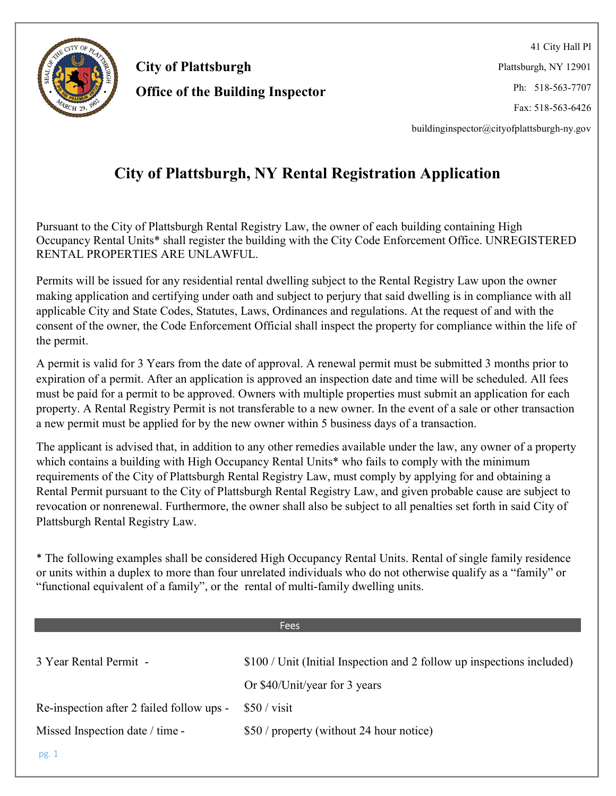

41 City Hall Pl Plattsburgh, NY 12901 Ph: 518-563-7707 Fax: 518-563-6426

buildinginspector@cityofplattsburgh-ny.gov

### City of Plattsburgh, NY Rental Registration Application

Pursuant to the City of Plattsburgh Rental Registry Law, the owner of each building containing High Occupancy Rental Units\* shall register the building with the City Code Enforcement Office. UNREGISTERED RENTAL PROPERTIES ARE UNLAWFUL.

Permits will be issued for any residential rental dwelling subject to the Rental Registry Law upon the owner making application and certifying under oath and subject to perjury that said dwelling is in compliance with all applicable City and State Codes, Statutes, Laws, Ordinances and regulations. At the request of and with the consent of the owner, the Code Enforcement Official shall inspect the property for compliance within the life of the permit.

A permit is valid for 3 Years from the date of approval. A renewal permit must be submitted 3 months prior to expiration of a permit. After an application is approved an inspection date and time will be scheduled. All fees must be paid for a permit to be approved. Owners with multiple properties must submit an application for each property. A Rental Registry Permit is not transferable to a new owner. In the event of a sale or other transaction a new permit must be applied for by the new owner within 5 business days of a transaction.

The applicant is advised that, in addition to any other remedies available under the law, any owner of a property which contains a building with High Occupancy Rental Units<sup>\*</sup> who fails to comply with the minimum requirements of the City of Plattsburgh Rental Registry Law, must comply by applying for and obtaining a Rental Permit pursuant to the City of Plattsburgh Rental Registry Law, and given probable cause are subject to revocation or nonrenewal. Furthermore, the owner shall also be subject to all penalties set forth in said City of Plattsburgh Rental Registry Law.

\* The following examples shall be considered High Occupancy Rental Units. Rental of single family residence or units within a duplex to more than four unrelated individuals who do not otherwise qualify as a "family" or "functional equivalent of a family", or the rental of multi-family dwelling units.

|                                           | <b>Fees</b>                                                            |
|-------------------------------------------|------------------------------------------------------------------------|
|                                           |                                                                        |
| 3 Year Rental Permit -                    | \$100 / Unit (Initial Inspection and 2 follow up inspections included) |
|                                           | Or \$40/Unit/year for 3 years                                          |
| Re-inspection after 2 failed follow ups - | $$50 / \text{visit}$                                                   |
| Missed Inspection date / time -           | \$50 / property (without 24 hour notice)                               |
| pg.1                                      |                                                                        |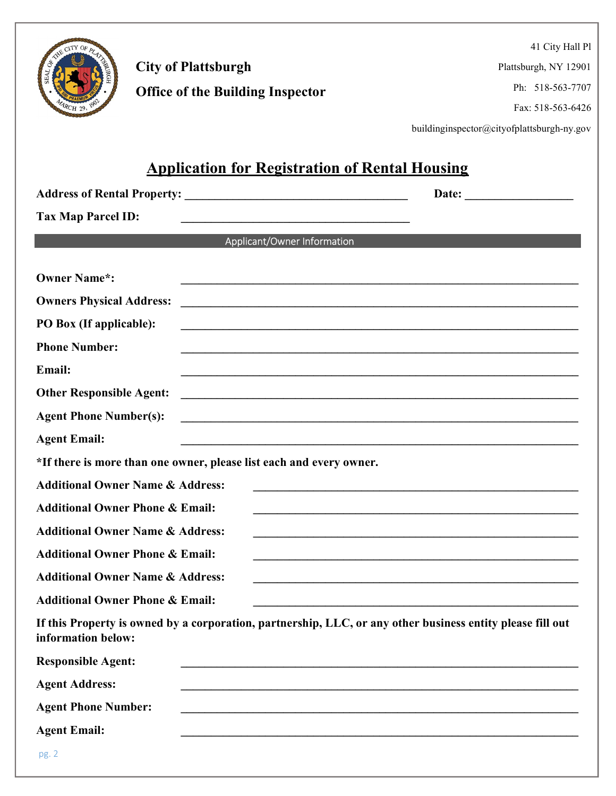

41 City Hall Pl

Plattsburgh, NY 12901

Ph: 518-563-7707

Fax: 518-563-6426

buildinginspector@cityofplattsburgh-ny.gov

### Application for Registration of Rental Housing

| <b>Tax Map Parcel ID:</b><br><u> 1989 - Johann Barn, mars ann an Cathair ann an t-Aonaichte ann an t-Aonaichte ann an t-Aonaichte ann an t-Aon</u> |                                                                                                                                                                                                                               |
|----------------------------------------------------------------------------------------------------------------------------------------------------|-------------------------------------------------------------------------------------------------------------------------------------------------------------------------------------------------------------------------------|
| Applicant/Owner Information                                                                                                                        |                                                                                                                                                                                                                               |
| <b>Owner Name*:</b>                                                                                                                                |                                                                                                                                                                                                                               |
| <b>Owners Physical Address:</b>                                                                                                                    | <u> 1980 - Johann Barn, margaret eta biztanleria (h. 1980).</u>                                                                                                                                                               |
| PO Box (If applicable):                                                                                                                            |                                                                                                                                                                                                                               |
| <b>Phone Number:</b>                                                                                                                               | the control of the control of the control of the control of the control of the control of the control of the control of the control of the control of the control of the control of the control of the control of the control |
| Email:                                                                                                                                             | <u> 1989 - Jan James James James James James James James James James James James James James James James James J</u>                                                                                                          |
| <b>Other Responsible Agent:</b>                                                                                                                    | <u> 1989 - Andrea State Barbara, amerikan basar dan berasal di sebagai basa dan basa dan berasal dan berasal di s</u>                                                                                                         |
| <b>Agent Phone Number(s):</b>                                                                                                                      | <u> 1989 - Johann Stoff, deutscher Stoffen und der Stoffen und der Stoffen und der Stoffen und der Stoffen und de</u>                                                                                                         |
| <b>Agent Email:</b>                                                                                                                                | <u> 1989 - Jan James James James James James James James James James James James James James James James James J</u>                                                                                                          |
| *If there is more than one owner, please list each and every owner.                                                                                |                                                                                                                                                                                                                               |
| <b>Additional Owner Name &amp; Address:</b>                                                                                                        | the contract of the contract of the contract of the contract of the contract of the contract of                                                                                                                               |
| <b>Additional Owner Phone &amp; Email:</b>                                                                                                         |                                                                                                                                                                                                                               |
| <b>Additional Owner Name &amp; Address:</b>                                                                                                        | the control of the control of the control of the control of the control of the control of the control of the control of the control of the control of the control of the control of the control of the control of the control |
| <b>Additional Owner Phone &amp; Email:</b>                                                                                                         | the contract of the contract of the contract of the contract of the contract of the contract of the contract of                                                                                                               |
| <b>Additional Owner Name &amp; Address:</b>                                                                                                        | the control of the control of the control of the control of the control of the control of the control of the control of the control of the control of the control of the control of the control of the control of the control |
| <b>Additional Owner Phone &amp; Email:</b>                                                                                                         |                                                                                                                                                                                                                               |
| If this Property is owned by a corporation, partnership, LLC, or any other business entity please fill out<br>information below:                   |                                                                                                                                                                                                                               |
| <b>Responsible Agent:</b>                                                                                                                          |                                                                                                                                                                                                                               |
| <b>Agent Address:</b>                                                                                                                              |                                                                                                                                                                                                                               |
| <b>Agent Phone Number:</b>                                                                                                                         |                                                                                                                                                                                                                               |
| <b>Agent Email:</b>                                                                                                                                |                                                                                                                                                                                                                               |
| pg. 2                                                                                                                                              |                                                                                                                                                                                                                               |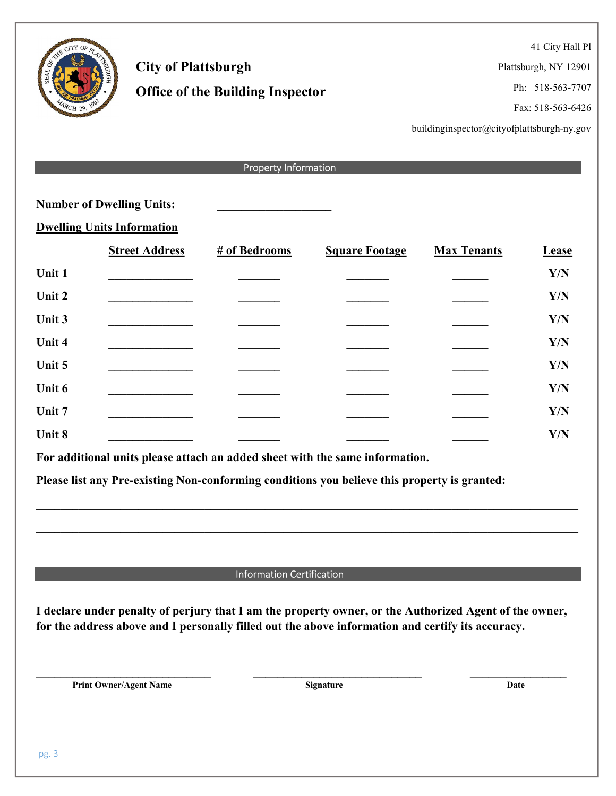41 City Hall Pl

Plattsburgh, NY 12901

Ph: 518-563-7707

Fax: 518-563-6426

buildinginspector@cityofplattsburgh-ny.gov

|        | <b>Property Information</b>       |                                                                                                                                                                                                             |                       |                    |              |  |
|--------|-----------------------------------|-------------------------------------------------------------------------------------------------------------------------------------------------------------------------------------------------------------|-----------------------|--------------------|--------------|--|
|        |                                   |                                                                                                                                                                                                             |                       |                    |              |  |
|        | <b>Number of Dwelling Units:</b>  |                                                                                                                                                                                                             |                       |                    |              |  |
|        | <b>Dwelling Units Information</b> |                                                                                                                                                                                                             |                       |                    |              |  |
|        | <b>Street Address</b>             | # of Bedrooms                                                                                                                                                                                               | <b>Square Footage</b> | <b>Max Tenants</b> | <b>Lease</b> |  |
| Unit 1 |                                   |                                                                                                                                                                                                             |                       |                    | Y/N          |  |
| Unit 2 |                                   |                                                                                                                                                                                                             |                       |                    | Y/N          |  |
| Unit 3 |                                   |                                                                                                                                                                                                             |                       |                    | Y/N          |  |
| Unit 4 |                                   |                                                                                                                                                                                                             |                       |                    | Y/N          |  |
| Unit 5 |                                   |                                                                                                                                                                                                             |                       |                    | Y/N          |  |
| Unit 6 |                                   |                                                                                                                                                                                                             |                       |                    | Y/N          |  |
| Unit 7 |                                   |                                                                                                                                                                                                             |                       |                    | Y/N          |  |
| Unit 8 |                                   |                                                                                                                                                                                                             |                       |                    | Y/N          |  |
|        |                                   | For additional units please attach an added sheet with the same information.                                                                                                                                |                       |                    |              |  |
|        |                                   | Please list any Pre-existing Non-conforming conditions you believe this property is granted:                                                                                                                |                       |                    |              |  |
|        |                                   |                                                                                                                                                                                                             |                       |                    |              |  |
|        |                                   |                                                                                                                                                                                                             |                       |                    |              |  |
|        |                                   |                                                                                                                                                                                                             |                       |                    |              |  |
|        |                                   |                                                                                                                                                                                                             |                       |                    |              |  |
|        |                                   | <b>Information Certification</b>                                                                                                                                                                            |                       |                    |              |  |
|        |                                   | I declare under penalty of perjury that I am the property owner, or the Authorized Agent of the owner,<br>for the address above and I personally filled out the above information and certify its accuracy. |                       |                    |              |  |
|        | <b>Print Owner/Agent Name</b>     |                                                                                                                                                                                                             | Signature             | Date               |              |  |
|        |                                   |                                                                                                                                                                                                             |                       |                    |              |  |

City of Plattsburgh

Office of the Building Inspector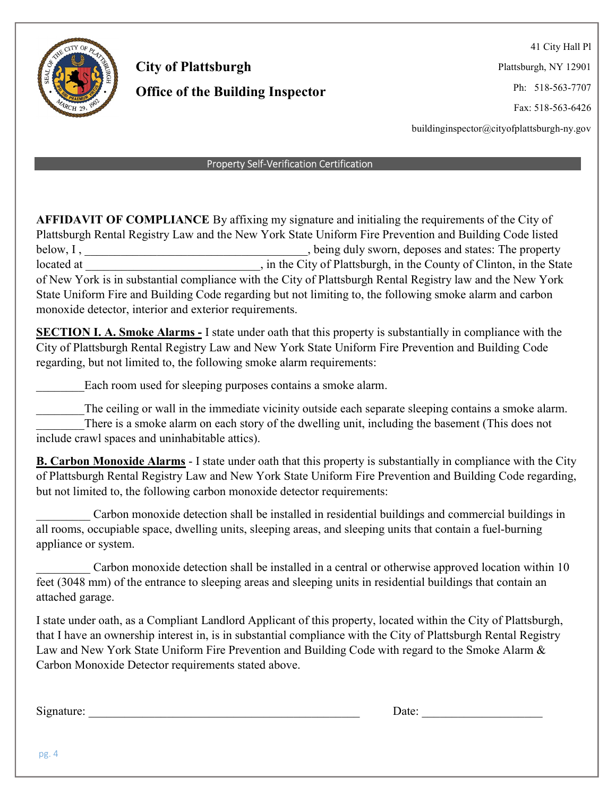

41 City Hall Pl

Plattsburgh, NY 12901

Ph: 518-563-7707

Fax: 518-563-6426

buildinginspector@cityofplattsburgh-ny.gov

#### Property Self-Verification Certification

AFFIDAVIT OF COMPLIANCE By affixing my signature and initialing the requirements of the City of Plattsburgh Rental Registry Law and the New York State Uniform Fire Prevention and Building Code listed below, I, the property of the states. The property being duly sworn, deposes and states: The property located at \_\_\_\_\_\_\_\_\_\_\_\_\_\_\_\_\_\_\_\_\_\_\_\_\_\_\_, in the City of Plattsburgh, in the County of Clinton, in the State of New York is in substantial compliance with the City of Plattsburgh Rental Registry law and the New York State Uniform Fire and Building Code regarding but not limiting to, the following smoke alarm and carbon monoxide detector, interior and exterior requirements.

SECTION I. A. Smoke Alarms - I state under oath that this property is substantially in compliance with the City of Plattsburgh Rental Registry Law and New York State Uniform Fire Prevention and Building Code regarding, but not limited to, the following smoke alarm requirements:

Each room used for sleeping purposes contains a smoke alarm.

The ceiling or wall in the immediate vicinity outside each separate sleeping contains a smoke alarm. There is a smoke alarm on each story of the dwelling unit, including the basement (This does not include crawl spaces and uninhabitable attics).

B. Carbon Monoxide Alarms - I state under oath that this property is substantially in compliance with the City of Plattsburgh Rental Registry Law and New York State Uniform Fire Prevention and Building Code regarding, but not limited to, the following carbon monoxide detector requirements:

\_\_\_\_\_\_\_\_\_ Carbon monoxide detection shall be installed in residential buildings and commercial buildings in all rooms, occupiable space, dwelling units, sleeping areas, and sleeping units that contain a fuel-burning appliance or system.

Carbon monoxide detection shall be installed in a central or otherwise approved location within 10 feet (3048 mm) of the entrance to sleeping areas and sleeping units in residential buildings that contain an attached garage.

I state under oath, as a Compliant Landlord Applicant of this property, located within the City of Plattsburgh, that I have an ownership interest in, is in substantial compliance with the City of Plattsburgh Rental Registry Law and New York State Uniform Fire Prevention and Building Code with regard to the Smoke Alarm & Carbon Monoxide Detector requirements stated above.

Signature: \_\_\_\_\_\_\_\_\_\_\_\_\_\_\_\_\_\_\_\_\_\_\_\_\_\_\_\_\_\_\_\_\_\_\_\_\_\_\_\_\_\_\_\_\_ Date: \_\_\_\_\_\_\_\_\_\_\_\_\_\_\_\_\_\_\_\_

pg. 4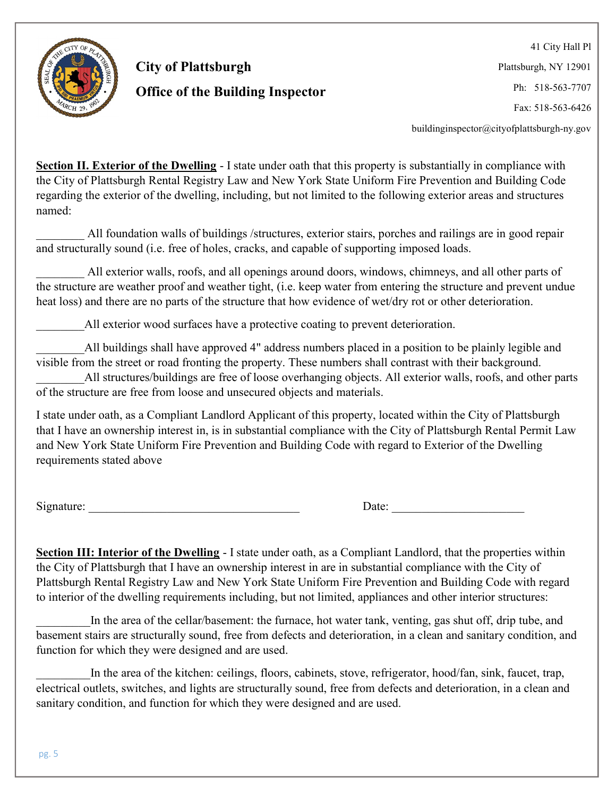

41 City Hall Pl Plattsburgh, NY 12901 Ph: 518-563-7707 Fax: 518-563-6426

buildinginspector@cityofplattsburgh-ny.gov

Section II. Exterior of the Dwelling - I state under oath that this property is substantially in compliance with the City of Plattsburgh Rental Registry Law and New York State Uniform Fire Prevention and Building Code regarding the exterior of the dwelling, including, but not limited to the following exterior areas and structures named:

\_\_\_\_\_\_\_\_ All foundation walls of buildings /structures, exterior stairs, porches and railings are in good repair and structurally sound (i.e. free of holes, cracks, and capable of supporting imposed loads.

All exterior walls, roofs, and all openings around doors, windows, chimneys, and all other parts of the structure are weather proof and weather tight, (i.e. keep water from entering the structure and prevent undue heat loss) and there are no parts of the structure that how evidence of wet/dry rot or other deterioration.

All exterior wood surfaces have a protective coating to prevent deterioration.

All buildings shall have approved 4" address numbers placed in a position to be plainly legible and visible from the street or road fronting the property. These numbers shall contrast with their background.

All structures/buildings are free of loose overhanging objects. All exterior walls, roofs, and other parts of the structure are free from loose and unsecured objects and materials.

I state under oath, as a Compliant Landlord Applicant of this property, located within the City of Plattsburgh that I have an ownership interest in, is in substantial compliance with the City of Plattsburgh Rental Permit Law and New York State Uniform Fire Prevention and Building Code with regard to Exterior of the Dwelling requirements stated above

Signature:  $\Box$ 

Section III: Interior of the Dwelling - I state under oath, as a Compliant Landlord, that the properties within the City of Plattsburgh that I have an ownership interest in are in substantial compliance with the City of Plattsburgh Rental Registry Law and New York State Uniform Fire Prevention and Building Code with regard to interior of the dwelling requirements including, but not limited, appliances and other interior structures:

In the area of the cellar/basement: the furnace, hot water tank, venting, gas shut off, drip tube, and basement stairs are structurally sound, free from defects and deterioration, in a clean and sanitary condition, and function for which they were designed and are used.

In the area of the kitchen: ceilings, floors, cabinets, stove, refrigerator, hood/fan, sink, faucet, trap, electrical outlets, switches, and lights are structurally sound, free from defects and deterioration, in a clean and sanitary condition, and function for which they were designed and are used.